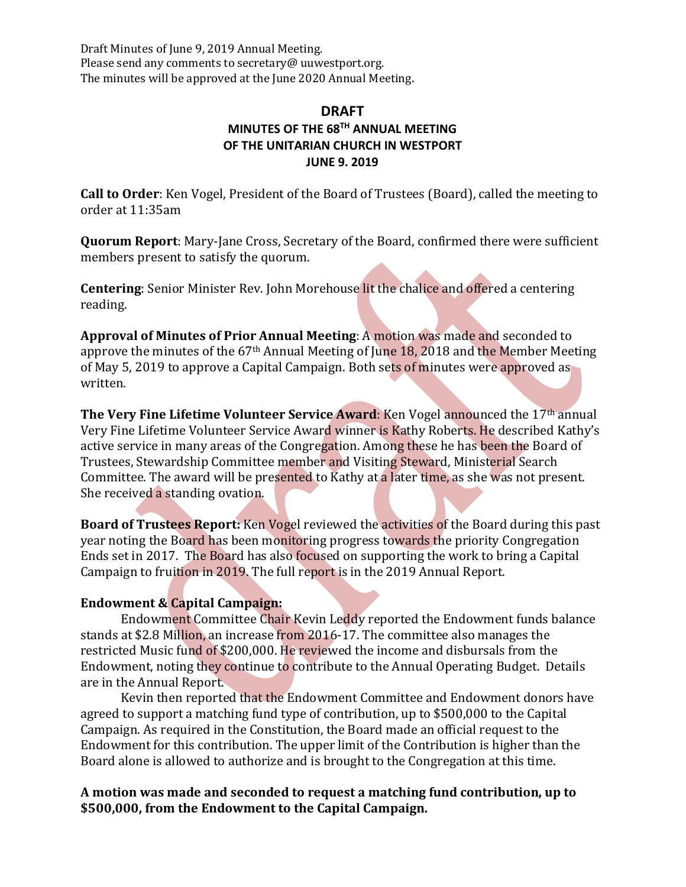Draft Minutes of June 9, 2019 Annual Meeting. Please send any comments to secretary@ uuwestport.org. The minutes will be approved at the June 2020 Annual Meeting.

# **DRAFT MINUTES OF THE 68TH ANNUAL MEETING OF THE UNITARIAN CHURCH IN WESTPORT JUNE 9. 2019**

**Call to Order**: Ken Vogel, President of the Board of Trustees (Board), called the meeting to order at 11:35am

**Quorum Report**: Mary-Jane Cross, Secretary of the Board, confirmed there were sufficient members present to satisfy the quorum.

**Centering**: Senior Minister Rev. John Morehouse lit the chalice and offered a centering reading.

**Approval of Minutes of Prior Annual Meeting: A motion was made and seconded to** approve the minutes of the  $67<sup>th</sup>$  Annual Meeting of June 18, 2018 and the Member Meeting of May 5, 2019 to approve a Capital Campaign. Both sets of minutes were approved as written.

**The Very Fine Lifetime Volunteer Service Award:** Ken Vogel announced the 17<sup>th</sup> annual Very Fine Lifetime Volunteer Service Award winner is Kathy Roberts. He described Kathy's active service in many areas of the Congregation. Among these he has been the Board of Trustees, Stewardship Committee member and Visiting Steward, Ministerial Search Committee. The award will be presented to Kathy at a later time, as she was not present. She received a standing ovation.

**Board of Trustees Report:** Ken Vogel reviewed the activities of the Board during this past year noting the Board has been monitoring progress towards the priority Congregation Ends set in 2017. The Board has also focused on supporting the work to bring a Capital Campaign to fruition in 2019. The full report is in the 2019 Annual Report.

## **Endowment & Capital Campaign:**

Endowment Committee Chair Kevin Leddy reported the Endowment funds balance stands at \$2.8 Million, an increase from 2016-17. The committee also manages the restricted Music fund of \$200,000. He reviewed the income and disbursals from the Endowment, noting they continue to contribute to the Annual Operating Budget. Details are in the Annual Report.

Kevin then reported that the Endowment Committee and Endowment donors have agreed to support a matching fund type of contribution, up to \$500,000 to the Capital Campaign. As required in the Constitution, the Board made an official request to the Endowment for this contribution. The upper limit of the Contribution is higher than the Board alone is allowed to authorize and is brought to the Congregation at this time.

## **A motion was made and seconded to request a matching fund contribution, up to**  \$500,000, from the Endowment to the Capital Campaign.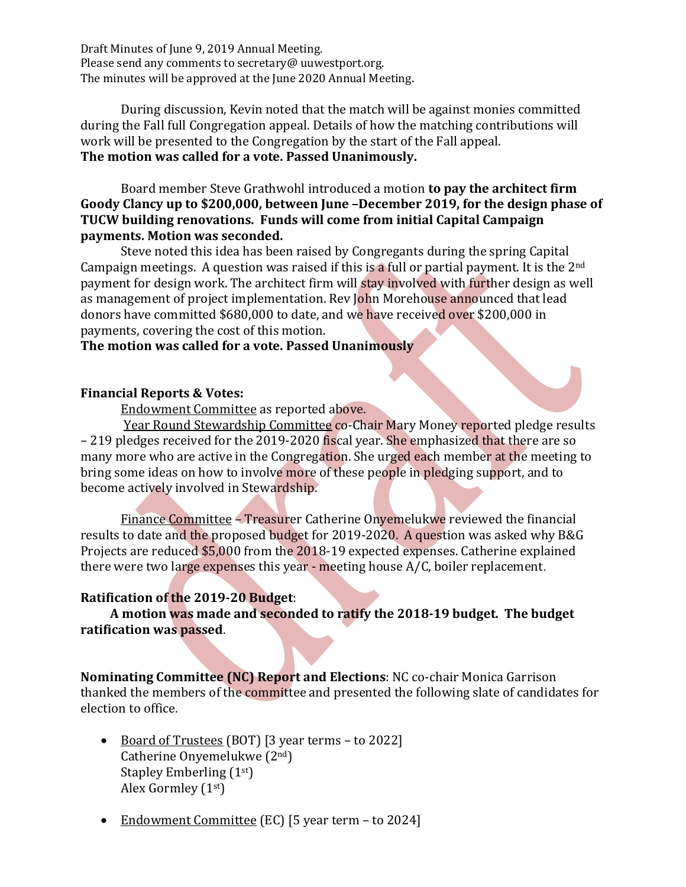Draft Minutes of June 9, 2019 Annual Meeting. Please send any comments to secretary@ uuwestport.org. The minutes will be approved at the June 2020 Annual Meeting.

During discussion, Kevin noted that the match will be against monies committed during the Fall full Congregation appeal. Details of how the matching contributions will work will be presented to the Congregation by the start of the Fall appeal. The motion was called for a vote. Passed Unanimously.

Board member Steve Grathwohl introduced a motion **to pay the architect firm** Goody Clancy up to \$200,000, between June -December 2019, for the design phase of **TUCW** building renovations. Funds will come from initial Capital Campaign **payments. Motion was seconded.**

Steve noted this idea has been raised by Congregants during the spring Capital Campaign meetings. A question was raised if this is a full or partial payment. It is the  $2<sup>nd</sup>$ payment for design work. The architect firm will stay involved with further design as well as management of project implementation. Rev John Morehouse announced that lead donors have committed \$680,000 to date, and we have received over \$200,000 in payments, covering the cost of this motion.

## **The motion was called for a vote. Passed Unanimously**

### **Financial Reports & Votes:**

Endowment Committee as reported above.

Year Round Stewardship Committee co-Chair Mary Money reported pledge results – 219 pledges received for the 2019-2020 fiscal year. She emphasized that there are so many more who are active in the Congregation. She urged each member at the meeting to bring some ideas on how to involve more of these people in pledging support, and to become actively involved in Stewardship.

Finance Committee – Treasurer Catherine Onyemelukwe reviewed the financial results to date and the proposed budget for 2019-2020. A question was asked why B&G Projects are reduced \$5,000 from the 2018-19 expected expenses. Catherine explained there were two large expenses this year - meeting house  $A/C$ , boiler replacement.

### **Ratification of the 2019-20 Budget:**

A motion was made and seconded to ratify the 2018-19 budget. The budget **ratification was passed.** 

**Nominating Committee (NC) Report and Elections:** NC co-chair Monica Garrison thanked the members of the committee and presented the following slate of candidates for election to office.

- Board of Trustees (BOT) [3 year terms to 2022] Catherine Onyemelukwe  $(2<sup>nd</sup>)$ Stapley Emberling  $(1<sup>st</sup>)$ Alex Gormley (1st)
- Endowment Committee (EC) [5 year term to 2024]